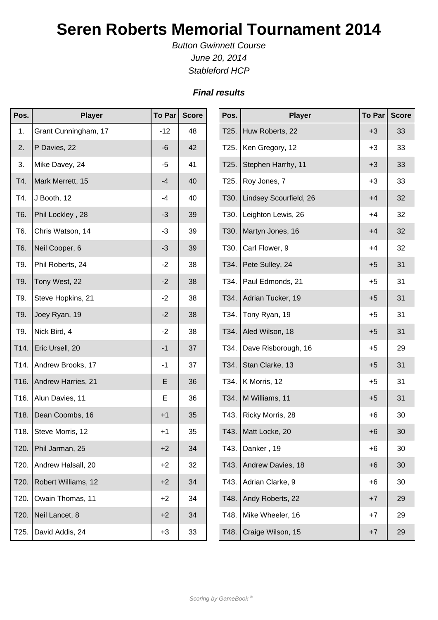## **Seren Roberts Memorial Tournament 2014**

Button Gwinnett Course June 20, 2014 Stableford HCP

## **Final results**

| Pos.             | <b>Player</b>             | To Par | <b>Score</b> | Pos. | <b>Player</b>          | <b>To Par</b> | <b>Score</b> |
|------------------|---------------------------|--------|--------------|------|------------------------|---------------|--------------|
| 1.               | Grant Cunningham, 17      | $-12$  | 48           | T25. | Huw Roberts, 22        | $+3$          | 33           |
| 2.               | P Davies, 22              | $-6$   | 42           | T25. | Ken Gregory, 12        | $+3$          | 33           |
| 3.               | Mike Davey, 24            | $-5$   | 41           | T25. | Stephen Harrhy, 11     | $+3$          | 33           |
| T4.              | Mark Merrett, 15          | $-4$   | 40           | T25. | Roy Jones, 7           | $+3$          | 33           |
| T4.              | J Booth, 12               | -4     | 40           | T30. | Lindsey Scourfield, 26 | $+4$          | 32           |
| T <sub>6</sub> . | Phil Lockley, 28          | $-3$   | 39           | T30. | Leighton Lewis, 26     | $+4$          | 32           |
| T6.              | Chris Watson, 14          | $-3$   | 39           | T30. | Martyn Jones, 16       | $+4$          | 32           |
| T6.              | Neil Cooper, 6            | $-3$   | 39           | T30. | Carl Flower, 9         | $+4$          | 32           |
| T9.              | Phil Roberts, 24          | $-2$   | 38           | T34. | Pete Sulley, 24        | $+5$          | 31           |
| T9.              | Tony West, 22             | $-2$   | 38           | T34. | Paul Edmonds, 21       | $+5$          | 31           |
| T9.              | Steve Hopkins, 21         | $-2$   | 38           | T34. | Adrian Tucker, 19      | $+5$          | 31           |
| T9.              | Joey Ryan, 19             | $-2$   | 38           | T34. | Tony Ryan, 19          | $+5$          | 31           |
| T9.              | Nick Bird, 4              | $-2$   | 38           |      | T34.   Aled Wilson, 18 | $+5$          | 31           |
| T14.             | Eric Ursell, 20           | $-1$   | 37           | T34. | Dave Risborough, 16    | $+5$          | 29           |
| T14.             | Andrew Brooks, 17         | $-1$   | 37           | T34. | Stan Clarke, 13        | $+5$          | 31           |
|                  | T16.   Andrew Harries, 21 | E      | 36           |      | T34.   K Morris, 12    | $+5$          | 31           |
| T16.             | Alun Davies, 11           | E      | 36           |      | T34.   M Williams, 11  | $+5$          | 31           |
| T18.             | Dean Coombs, 16           | $+1$   | 35           | T43. | Ricky Morris, 28       | +6            | 30           |
| T18.             | Steve Morris, 12          | $+1$   | 35           |      | T43.   Matt Locke, 20  | $+6$          | 30           |
| T20.             | Phil Jarman, 25           | $+2$   | 34           | T43. | Danker, 19             | $+6$          | 30           |
| T20.             | Andrew Halsall, 20        | $+2$   | 32           | T43. | Andrew Davies, 18      | $+6$          | 30           |
| T20.             | Robert Williams, 12       | $+2$   | 34           | T43. | Adrian Clarke, 9       | $+6$          | 30           |
| T20.             | Owain Thomas, 11          | $+2$   | 34           | T48. | Andy Roberts, 22       | $+7$          | 29           |
| T20.             | Neil Lancet, 8            | $+2$   | 34           | T48. | Mike Wheeler, 16       | $+7$          | 29           |
| T25.             | David Addis, 24           | $+3$   | 33           | T48. | Craige Wilson, 15      | $+7$          | 29           |